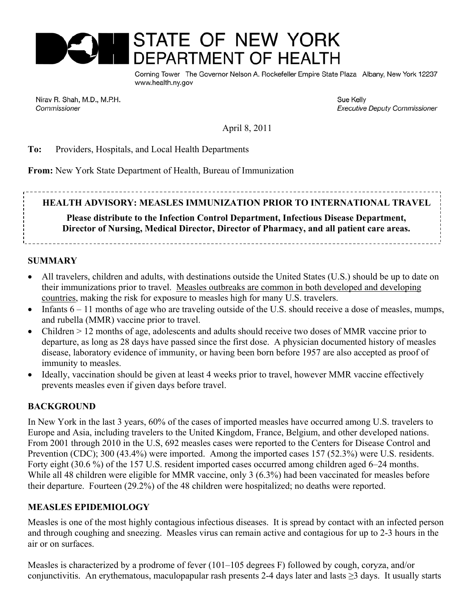

Corning Tower The Governor Nelson A. Rockefeller Empire State Plaza Albany, New York 12237 www.health.nv.gov

Nirav R. Shah, M.D., M.P.H. Commissioner

Sue Kelly **Executive Deputy Commissioner** 

April 8, 2011

#### **To:** Providers, Hospitals, and Local Health Departments

**From:** New York State Department of Health, Bureau of Immunization

**HEALTH ADVISORY: MEASLES IMMUNIZATION PRIOR TO INTERNATIONAL TRAVEL** 

# **Please distribute to the Infection Control Department, Infectious Disease Department, Director of Nursing, Medical Director, Director of Pharmacy, and all patient care areas.**

#### **SUMMARY**

- All travelers, children and adults, with destinations outside the United States (U.S.) should be up to date on their immunizations prior to travel. Measles outbreaks are common in both developed and developing countries, making the risk for exposure to measles high for many U.S. travelers.
- Infants  $6 11$  months of age who are traveling outside of the U.S. should receive a dose of measles, mumps, and rubella (MMR) vaccine prior to travel.
- Children > 12 months of age, adolescents and adults should receive two doses of MMR vaccine prior to departure, as long as 28 days have passed since the first dose. A physician documented history of measles disease, laboratory evidence of immunity, or having been born before 1957 are also accepted as proof of immunity to measles.
- Ideally, vaccination should be given at least 4 weeks prior to travel, however MMR vaccine effectively prevents measles even if given days before travel.

#### **BACKGROUND**

In New York in the last 3 years, 60% of the cases of imported measles have occurred among U.S. travelers to Europe and Asia, including travelers to the United Kingdom, France, Belgium, and other developed nations. From 2001 through 2010 in the U.S, 692 measles cases were reported to the Centers for Disease Control and Prevention (CDC); 300 (43.4%) were imported. Among the imported cases 157 (52.3%) were U.S. residents. Forty eight (30.6 %) of the 157 U.S. resident imported cases occurred among children aged 6–24 months. While all 48 children were eligible for MMR vaccine, only 3 (6.3%) had been vaccinated for measles before their departure. Fourteen (29.2%) of the 48 children were hospitalized; no deaths were reported.

#### **MEASLES EPIDEMIOLOGY**

Measles is one of the most highly contagious infectious diseases. It is spread by contact with an infected person and through coughing and sneezing. Measles virus can remain active and contagious for up to 2-3 hours in the air or on surfaces.

Measles is characterized by a prodrome of fever (101–105 degrees F) followed by cough, coryza, and/or conjunctivitis. An erythematous, maculopapular rash presents 2-4 days later and lasts ≥3 days. It usually starts